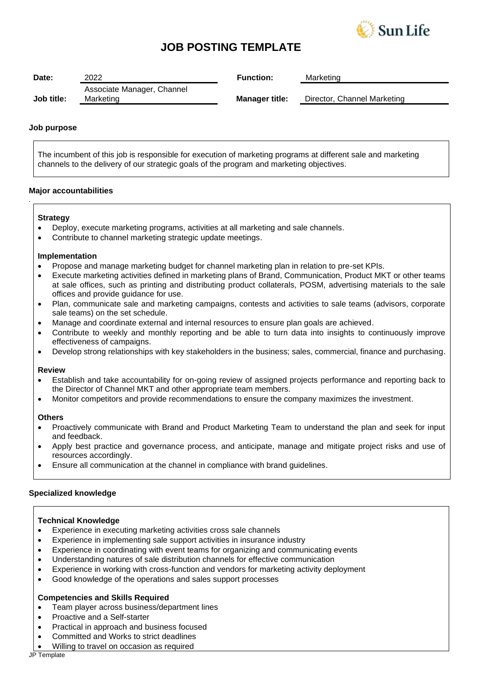

## **JOB POSTING TEMPLATE**

| Date:      | 2022                                    | <b>Function:</b>      | Marketing                   |
|------------|-----------------------------------------|-----------------------|-----------------------------|
| Job title: | Associate Manager, Channel<br>Marketing | <b>Manager title:</b> | Director, Channel Marketing |

## **Job purpose**

The incumbent of this job is responsible for execution of marketing programs at different sale and marketing channels to the delivery of our strategic goals of the program and marketing objectives.

## **Major accountabilities**

## **Strategy**

*.*

- Deploy, execute marketing programs, activities at all marketing and sale channels.
- Contribute to channel marketing strategic update meetings.

## **Implementation**

- Propose and manage marketing budget for channel marketing plan in relation to pre-set KPIs.
- Execute marketing activities defined in marketing plans of Brand, Communication, Product MKT or other teams at sale offices, such as printing and distributing product collaterals, POSM, advertising materials to the sale offices and provide guidance for use.
- Plan, communicate sale and marketing campaigns, contests and activities to sale teams (advisors, corporate sale teams) on the set schedule.
- Manage and coordinate external and internal resources to ensure plan goals are achieved.
- Contribute to weekly and monthly reporting and be able to turn data into insights to continuously improve effectiveness of campaigns.
- Develop strong relationships with key stakeholders in the business; sales, commercial, finance and purchasing.

## **Review**

- Establish and take accountability for on-going review of assigned projects performance and reporting back to the Director of Channel MKT and other appropriate team members.
- Monitor competitors and provide recommendations to ensure the company maximizes the investment.

## **Others**

- Proactively communicate with Brand and Product Marketing Team to understand the plan and seek for input and feedback.
- Apply best practice and governance process, and anticipate, manage and mitigate project risks and use of resources accordingly.
- Ensure all communication at the channel in compliance with brand guidelines.

## **Specialized knowledge**

## **Technical Knowledge**

- Experience in executing marketing activities cross sale channels
- Experience in implementing sale support activities in insurance industry
- Experience in coordinating with event teams for organizing and communicating events
- Understanding natures of sale distribution channels for effective communication
- Experience in working with cross-function and vendors for marketing activity deployment
- Good knowledge of the operations and sales support processes

## **Competencies and Skills Required**

- Team player across business/department lines
- Proactive and a Self-starter
- Practical in approach and business focused
- Committed and Works to strict deadlines
- Willing to travel on occasion as required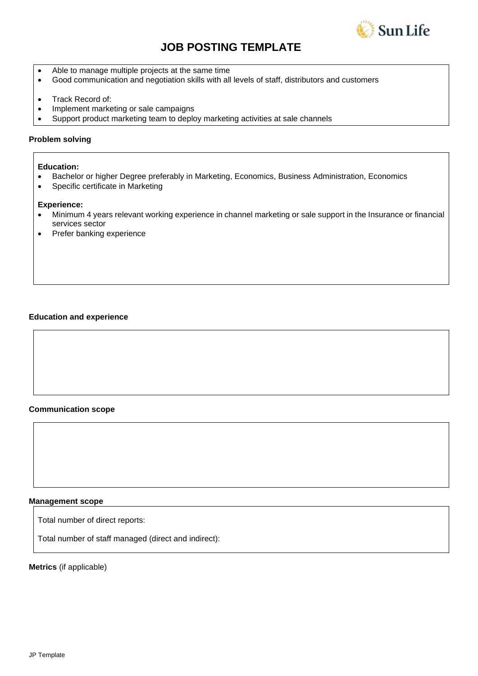

# **JOB POSTING TEMPLATE**

- Able to manage multiple projects at the same time
- Good communication and negotiation skills with all levels of staff, distributors and customers
- Track Record of:
- Implement marketing or sale campaigns
- Support product marketing team to deploy marketing activities at sale channels

### **Problem solving**

### **Education:**

- Bachelor or higher Degree preferably in Marketing, Economics, Business Administration, Economics
- Specific certificate in Marketing

#### **Experience:**

- Minimum 4 years relevant working experience in channel marketing or sale support in the Insurance or financial services sector
- Prefer banking experience

#### **Education and experience**

## **Communication scope**

#### **Management scope**

Total number of direct reports:

Total number of staff managed (direct and indirect):

**Metrics** (if applicable)